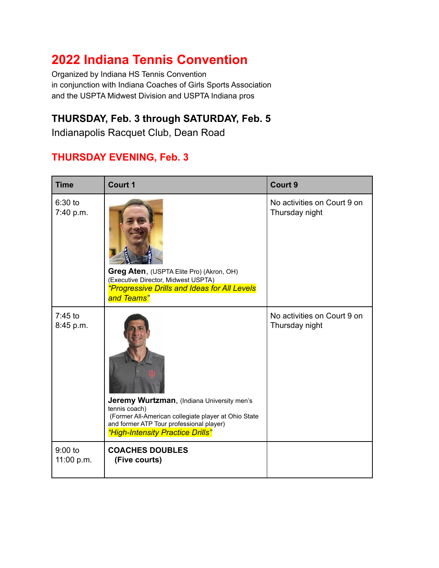# **2022 Indiana Tennis Convention**

Organized by Indiana HS Tennis Convention in conjunction with Indiana Coaches of Girls Sports Association and the USPTA Midwest Division and USPTA Indiana pros

#### **THURSDAY, Feb. 3 through SATURDAY, Feb. 5**

Indianapolis Racquet Club, Dean Road

#### **THURSDAY EVENING, Feb. 3**

| <b>Time</b>             | <b>Court 1</b>                                                                                                                                                                                      | <b>Court 9</b>                                |
|-------------------------|-----------------------------------------------------------------------------------------------------------------------------------------------------------------------------------------------------|-----------------------------------------------|
| 6:30 to<br>7:40 p.m.    | Greg Aten, (USPTA Elite Pro) (Akron, OH)<br>(Executive Director, Midwest USPTA)<br>"Progressive Drills and Ideas for All Levels<br>and Teams"                                                       | No activities on Court 9 on<br>Thursday night |
| $7:45$ to<br>8:45 p.m.  | Jeremy Wurtzman, (Indiana University men's<br>tennis coach)<br>(Former All-American collegiate player at Ohio State<br>and former ATP Tour professional player)<br>"High-Intensity Practice Drills" | No activities on Court 9 on<br>Thursday night |
| $9:00$ to<br>11:00 p.m. | <b>COACHES DOUBLES</b><br>(Five courts)                                                                                                                                                             |                                               |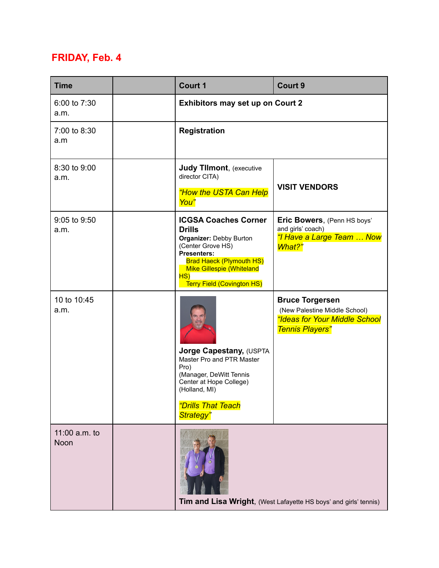### **FRIDAY, Feb. 4**

| <b>Time</b>           | <b>Court 1</b>                                                                                                                                                                                                                               | <b>Court 9</b>                                                                                                     |
|-----------------------|----------------------------------------------------------------------------------------------------------------------------------------------------------------------------------------------------------------------------------------------|--------------------------------------------------------------------------------------------------------------------|
| 6:00 to 7:30<br>a.m.  | <b>Exhibitors may set up on Court 2</b>                                                                                                                                                                                                      |                                                                                                                    |
| 7:00 to 8:30<br>a.m   | <b>Registration</b>                                                                                                                                                                                                                          |                                                                                                                    |
| 8:30 to 9:00<br>a.m.  | <b>Judy Tilmont, (executive</b><br>director CITA)<br>"How the USTA Can Help<br>You"                                                                                                                                                          | <b>VISIT VENDORS</b>                                                                                               |
| 9:05 to 9:50<br>a.m.  | <b>ICGSA Coaches Corner</b><br><b>Drills</b><br><b>Organizer: Debby Burton</b><br>(Center Grove HS)<br><b>Presenters:</b><br><b>Brad Haeck (Plymouth HS)</b><br><b>Mike Gillespie (Whiteland</b><br>HS)<br><b>Terry Field (Covington HS)</b> | Eric Bowers, (Penn HS boys'<br>and girls' coach)<br>"I Have a Large Team  Now<br>What?"                            |
| 10 to 10:45<br>a.m.   | Jorge Capestany, (USPTA<br>Master Pro and PTR Master<br>Pro)<br>(Manager, DeWitt Tennis<br>Center at Hope College)<br>(Holland, MI)<br><u> "Drills That Teach</u><br>Strategy"                                                               | <b>Bruce Torgersen</b><br>(New Palestine Middle School)<br>"Ideas for Your Middle School<br><b>Tennis Players"</b> |
| 11:00 a.m. to<br>Noon |                                                                                                                                                                                                                                              | Tim and Lisa Wright, (West Lafayette HS boys' and girls' tennis)                                                   |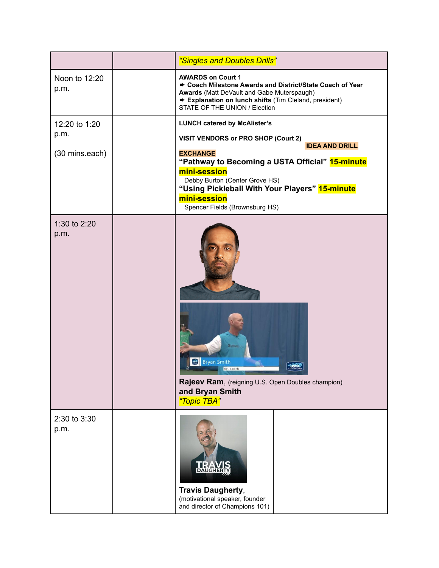|                       |  | "Singles and Doubles Drills"                                                                                                                                                                                                                                                                                                           |  |
|-----------------------|--|----------------------------------------------------------------------------------------------------------------------------------------------------------------------------------------------------------------------------------------------------------------------------------------------------------------------------------------|--|
| Noon to 12:20<br>p.m. |  | <b>AWARDS on Court 1</b><br>Coach Milestone Awards and District/State Coach of Year<br>Awards (Matt DeVault and Gabe Muterspaugh)<br>Explanation on lunch shifts (Tim Cleland, president)<br>STATE OF THE UNION / Election                                                                                                             |  |
| 12:20 to 1:20         |  | <b>LUNCH catered by McAlister's</b><br><b>VISIT VENDORS or PRO SHOP (Court 2)</b><br><b>IDEA AND DRILL</b><br><b>EXCHANGE</b><br>"Pathway to Becoming a USTA Official" 15-minute<br>mini-session<br>Debby Burton (Center Grove HS)<br>"Using Pickleball With Your Players" 15-minute<br>mini-session<br>Spencer Fields (Brownsburg HS) |  |
| p.m.                  |  |                                                                                                                                                                                                                                                                                                                                        |  |
| (30 mins.each)        |  |                                                                                                                                                                                                                                                                                                                                        |  |
| 1:30 to 2:20<br>p.m.  |  | Bryan Smith<br>RTC Coach<br>Rajeev Ram, (reigning U.S. Open Doubles champion)<br>and Bryan Smith<br>"Topic TBA"                                                                                                                                                                                                                        |  |
| 2:30 to 3:30<br>p.m.  |  | <b>DAUGHERT</b><br><b>Travis Daugherty,</b><br>(motivational speaker, founder<br>and director of Champions 101)                                                                                                                                                                                                                        |  |